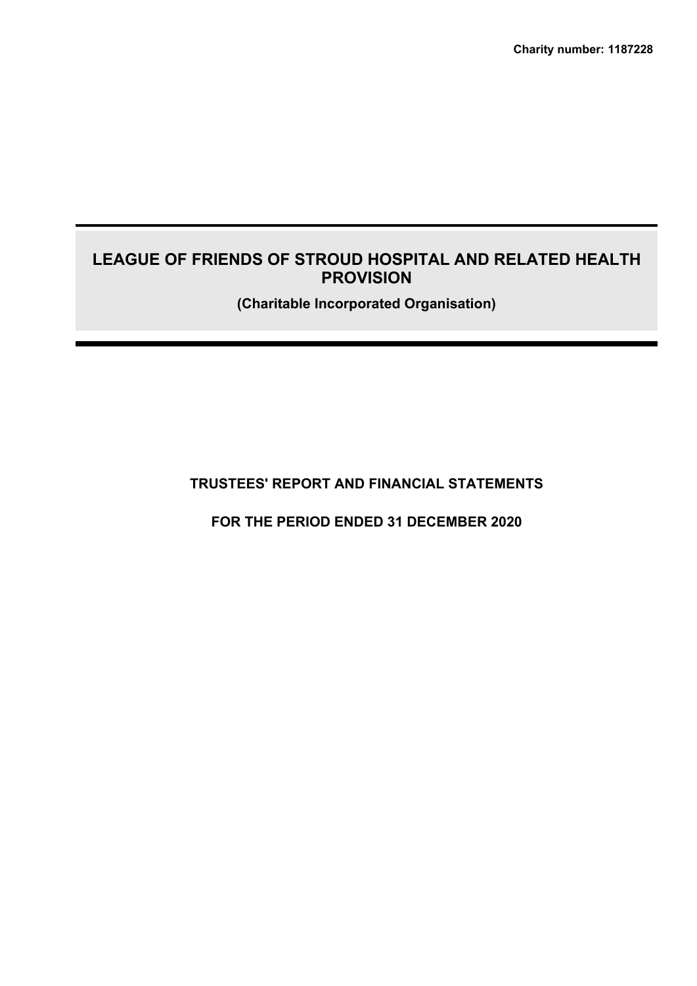**Charity number: 1187228**

# **LEAGUE OF FRIENDS OF STROUD HOSPITAL AND RELATED HEALTH PROVISION**

**(Charitable Incorporated Organisation)**

**TRUSTEES' REPORT AND FINANCIAL STATEMENTS**

**FOR THE PERIOD ENDED 31 DECEMBER 2020**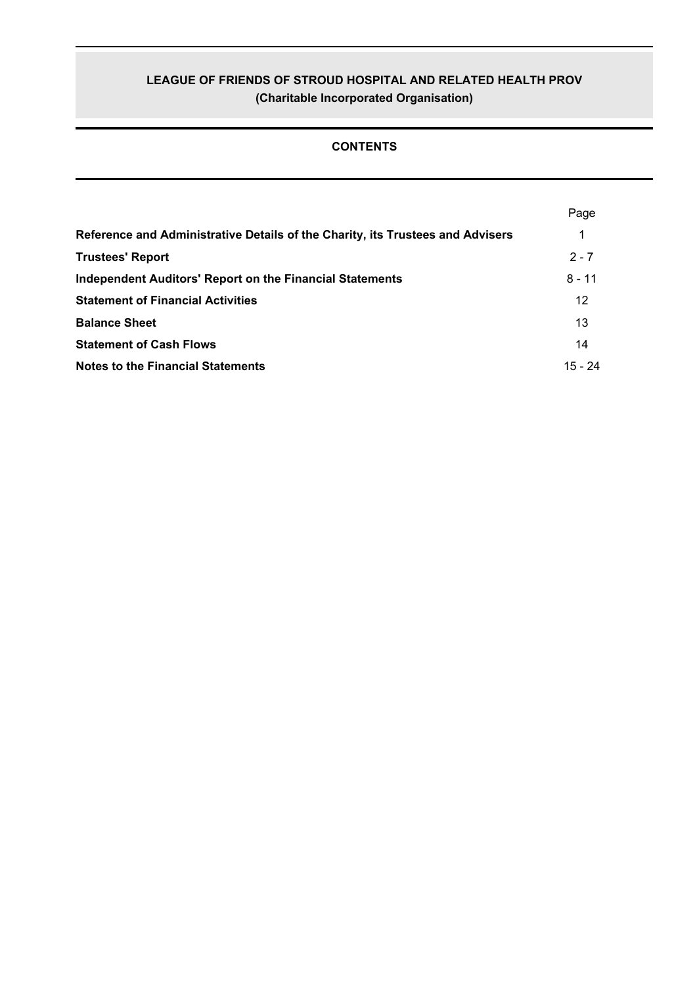# **CONTENTS**

|                                                                                | Page      |
|--------------------------------------------------------------------------------|-----------|
| Reference and Administrative Details of the Charity, its Trustees and Advisers | 1         |
| <b>Trustees' Report</b>                                                        | $2 - 7$   |
| <b>Independent Auditors' Report on the Financial Statements</b>                | $8 - 11$  |
| <b>Statement of Financial Activities</b>                                       | 12        |
| <b>Balance Sheet</b>                                                           | 13        |
| <b>Statement of Cash Flows</b>                                                 | 14        |
| <b>Notes to the Financial Statements</b>                                       | $15 - 24$ |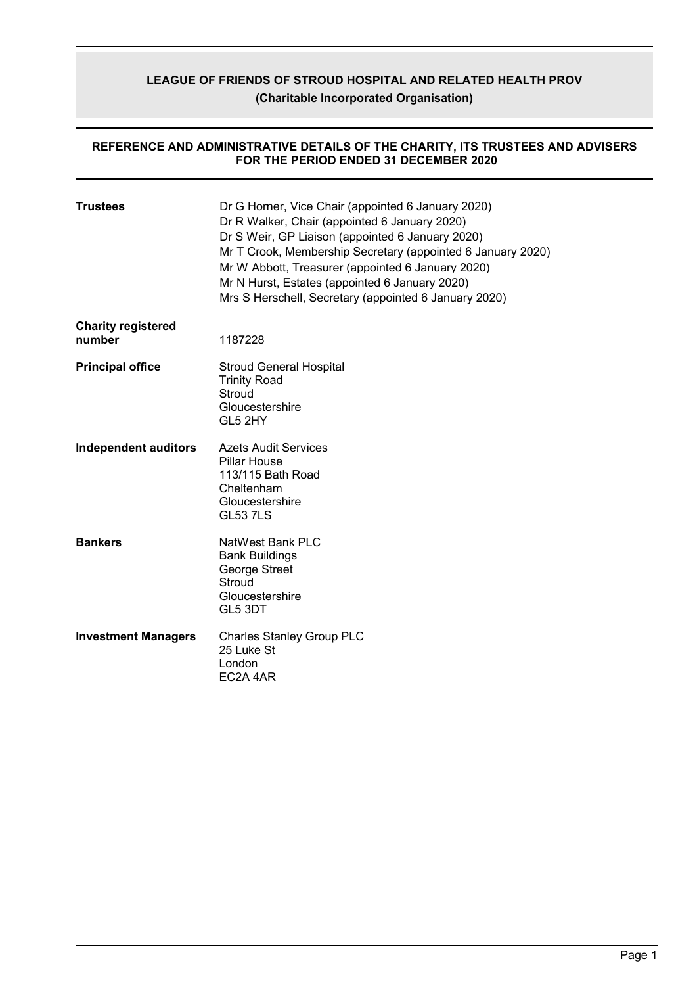### **REFERENCE AND ADMINISTRATIVE DETAILS OF THE CHARITY, ITS TRUSTEES AND ADVISERS FOR THE PERIOD ENDED 31 DECEMBER 2020**

| <b>Trustees</b>                     | Dr G Horner, Vice Chair (appointed 6 January 2020)<br>Dr R Walker, Chair (appointed 6 January 2020)<br>Dr S Weir, GP Liaison (appointed 6 January 2020)<br>Mr T Crook, Membership Secretary (appointed 6 January 2020)<br>Mr W Abbott, Treasurer (appointed 6 January 2020)<br>Mr N Hurst, Estates (appointed 6 January 2020)<br>Mrs S Herschell, Secretary (appointed 6 January 2020) |
|-------------------------------------|----------------------------------------------------------------------------------------------------------------------------------------------------------------------------------------------------------------------------------------------------------------------------------------------------------------------------------------------------------------------------------------|
| <b>Charity registered</b><br>number | 1187228                                                                                                                                                                                                                                                                                                                                                                                |
| <b>Principal office</b>             | <b>Stroud General Hospital</b><br><b>Trinity Road</b><br>Stroud<br>Gloucestershire<br>GL5 2HY                                                                                                                                                                                                                                                                                          |
| <b>Independent auditors</b>         | <b>Azets Audit Services</b><br><b>Pillar House</b><br>113/115 Bath Road<br>Cheltenham<br>Gloucestershire<br><b>GL53 7LS</b>                                                                                                                                                                                                                                                            |
| <b>Bankers</b>                      | NatWest Bank PLC<br><b>Bank Buildings</b><br>George Street<br>Stroud<br>Gloucestershire<br>GL5 3DT                                                                                                                                                                                                                                                                                     |
| <b>Investment Managers</b>          | <b>Charles Stanley Group PLC</b><br>25 Luke St<br>London<br>EC2A 4AR                                                                                                                                                                                                                                                                                                                   |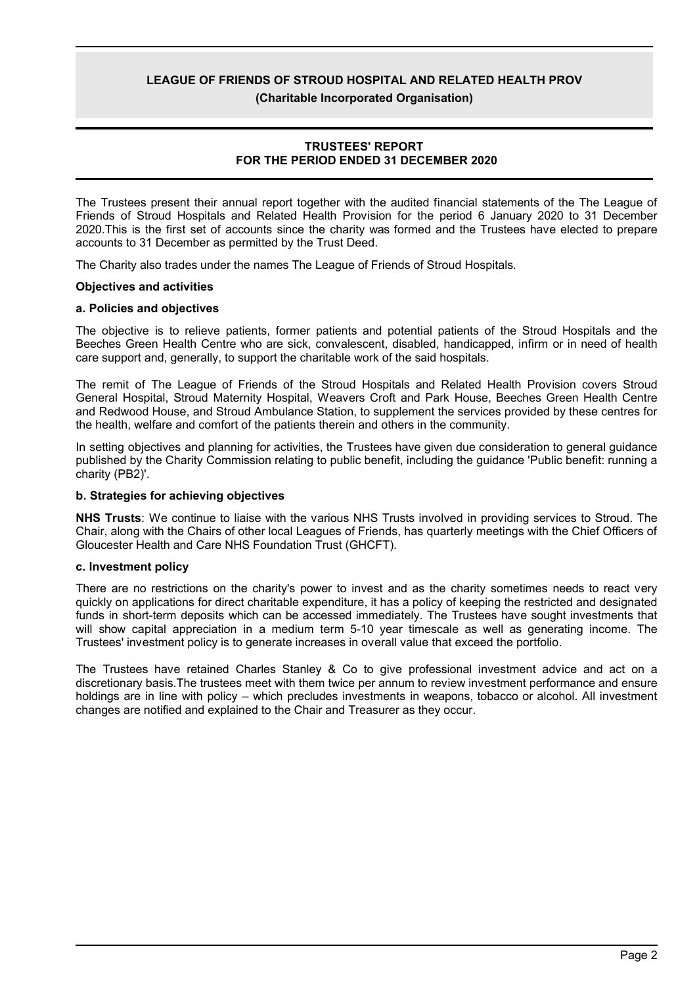**(Charitable Incorporated Organisation)**

### **TRUSTEES' REPORT FOR THE PERIOD ENDED 31 DECEMBER 2020**

The Trustees present their annual report together with the audited financial statements of the The League of Friends of Stroud Hospitals and Related Health Provision for the period 6 January 2020 to 31 December 2020.This is the first set of accounts since the charity was formed and the Trustees have elected to prepare accounts to 31 December as permitted by the Trust Deed.

The Charity also trades under the names The League of Friends of Stroud Hospitals.

### **Objectives and activities**

### **a. Policies and objectives**

The objective is to relieve patients, former patients and potential patients of the Stroud Hospitals and the Beeches Green Health Centre who are sick, convalescent, disabled, handicapped, infirm or in need of health care support and, generally, to support the charitable work of the said hospitals.

The remit of The League of Friends of the Stroud Hospitals and Related Health Provision covers Stroud General Hospital, Stroud Maternity Hospital, Weavers Croft and Park House, Beeches Green Health Centre and Redwood House, and Stroud Ambulance Station, to supplement the services provided by these centres for the health, welfare and comfort of the patients therein and others in the community.

In setting objectives and planning for activities, the Trustees have given due consideration to general guidance published by the Charity Commission relating to public benefit, including the guidance 'Public benefit: running a charity (PB2)'.

### **b. Strategies for achieving objectives**

**NHS Trusts**: We continue to liaise with the various NHS Trusts involved in providing services to Stroud. The Chair, along with the Chairs of other local Leagues of Friends, has quarterly meetings with the Chief Officers of Gloucester Health and Care NHS Foundation Trust (GHCFT).

### **c. Investment policy**

There are no restrictions on the charity's power to invest and as the charity sometimes needs to react very quickly on applications for direct charitable expenditure, it has a policy of keeping the restricted and designated funds in short-term deposits which can be accessed immediately. The Trustees have sought investments that will show capital appreciation in a medium term 5-10 year timescale as well as generating income. The Trustees' investment policy is to generate increases in overall value that exceed the portfolio.

The Trustees have retained Charles Stanley & Co to give professional investment advice and act on a discretionary basis.The trustees meet with them twice per annum to review investment performance and ensure holdings are in line with policy – which precludes investments in weapons, tobacco or alcohol. All investment changes are notified and explained to the Chair and Treasurer as they occur.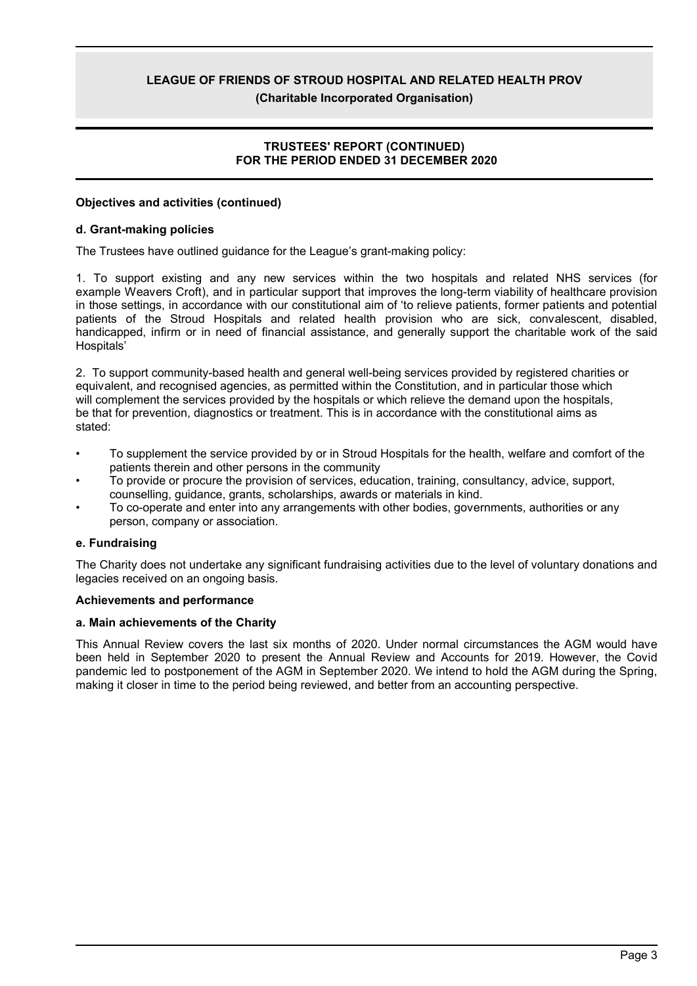# **TRUSTEES' REPORT (CONTINUED) FOR THE PERIOD ENDED 31 DECEMBER 2020**

### **Objectives and activities (continued)**

### **d. Grant-making policies**

The Trustees have outlined guidance for the League's grant-making policy:

1. To support existing and any new services within the two hospitals and related NHS services (for example Weavers Croft), and in particular support that improves the long-term viability of healthcare provision in those settings, in accordance with our constitutional aim of 'to relieve patients, former patients and potential patients of the Stroud Hospitals and related health provision who are sick, convalescent, disabled, handicapped, infirm or in need of financial assistance, and generally support the charitable work of the said Hospitals'

2. To support community-based health and general well-being services provided by registered charities or equivalent, and recognised agencies, as permitted within the Constitution, and in particular those which will complement the services provided by the hospitals or which relieve the demand upon the hospitals, be that for prevention, diagnostics or treatment. This is in accordance with the constitutional aims as stated:

- To supplement the service provided by or in Stroud Hospitals for the health, welfare and comfort of the patients therein and other persons in the community
- To provide or procure the provision of services, education, training, consultancy, advice, support, counselling, guidance, grants, scholarships, awards or materials in kind.
- To co-operate and enter into any arrangements with other bodies, governments, authorities or any person, company or association.

### **e. Fundraising**

The Charity does not undertake any significant fundraising activities due to the level of voluntary donations and legacies received on an ongoing basis.

### **Achievements and performance**

### **a. Main achievements of the Charity**

This Annual Review covers the last six months of 2020. Under normal circumstances the AGM would have been held in September 2020 to present the Annual Review and Accounts for 2019. However, the Covid pandemic led to postponement of the AGM in September 2020. We intend to hold the AGM during the Spring, making it closer in time to the period being reviewed, and better from an accounting perspective.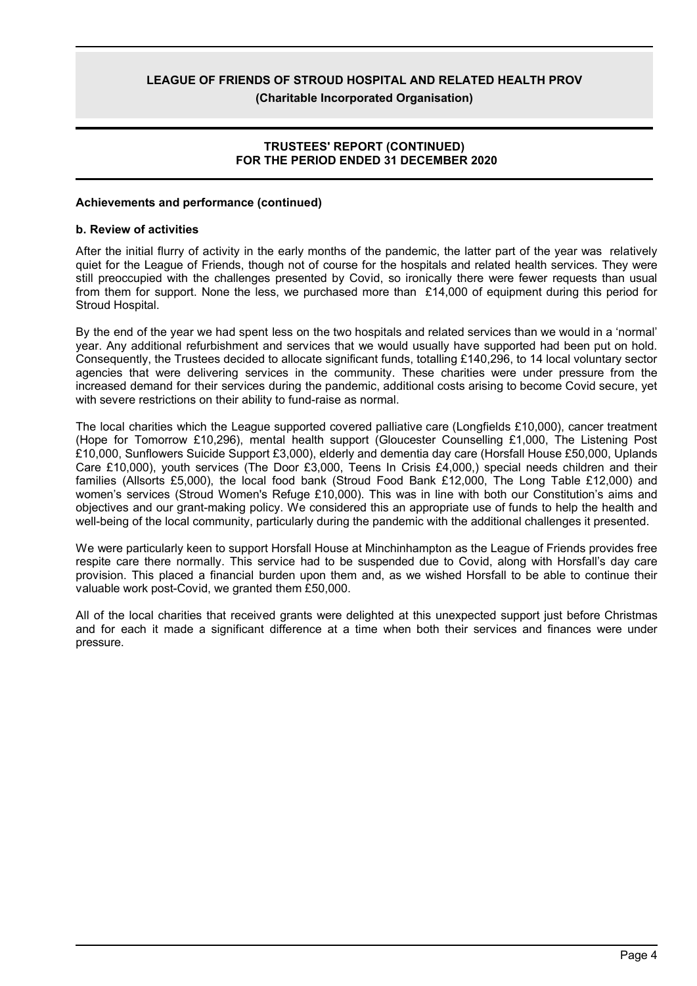# **(Charitable Incorporated Organisation)**

# **TRUSTEES' REPORT (CONTINUED) FOR THE PERIOD ENDED 31 DECEMBER 2020**

### **Achievements and performance (continued)**

### **b. Review of activities**

After the initial flurry of activity in the early months of the pandemic, the latter part of the year was relatively quiet for the League of Friends, though not of course for the hospitals and related health services. They were still preoccupied with the challenges presented by Covid, so ironically there were fewer requests than usual from them for support. None the less, we purchased more than £14,000 of equipment during this period for Stroud Hospital.

By the end of the year we had spent less on the two hospitals and related services than we would in a 'normal' year. Any additional refurbishment and services that we would usually have supported had been put on hold. Consequently, the Trustees decided to allocate significant funds, totalling £140,296, to 14 local voluntary sector agencies that were delivering services in the community. These charities were under pressure from the increased demand for their services during the pandemic, additional costs arising to become Covid secure, yet with severe restrictions on their ability to fund-raise as normal.

The local charities which the League supported covered palliative care (Longfields £10,000), cancer treatment (Hope for Tomorrow £10,296), mental health support (Gloucester Counselling £1,000, The Listening Post £10,000, Sunflowers Suicide Support £3,000), elderly and dementia day care (Horsfall House £50,000, Uplands Care £10,000), youth services (The Door £3,000, Teens In Crisis £4,000,) special needs children and their families (Allsorts £5,000), the local food bank (Stroud Food Bank £12,000, The Long Table £12,000) and women's services (Stroud Women's Refuge £10,000). This was in line with both our Constitution's aims and objectives and our grant-making policy. We considered this an appropriate use of funds to help the health and well-being of the local community, particularly during the pandemic with the additional challenges it presented.

We were particularly keen to support Horsfall House at Minchinhampton as the League of Friends provides free respite care there normally. This service had to be suspended due to Covid, along with Horsfall's day care provision. This placed a financial burden upon them and, as we wished Horsfall to be able to continue their valuable work post-Covid, we granted them £50,000.

All of the local charities that received grants were delighted at this unexpected support just before Christmas and for each it made a significant difference at a time when both their services and finances were under pressure.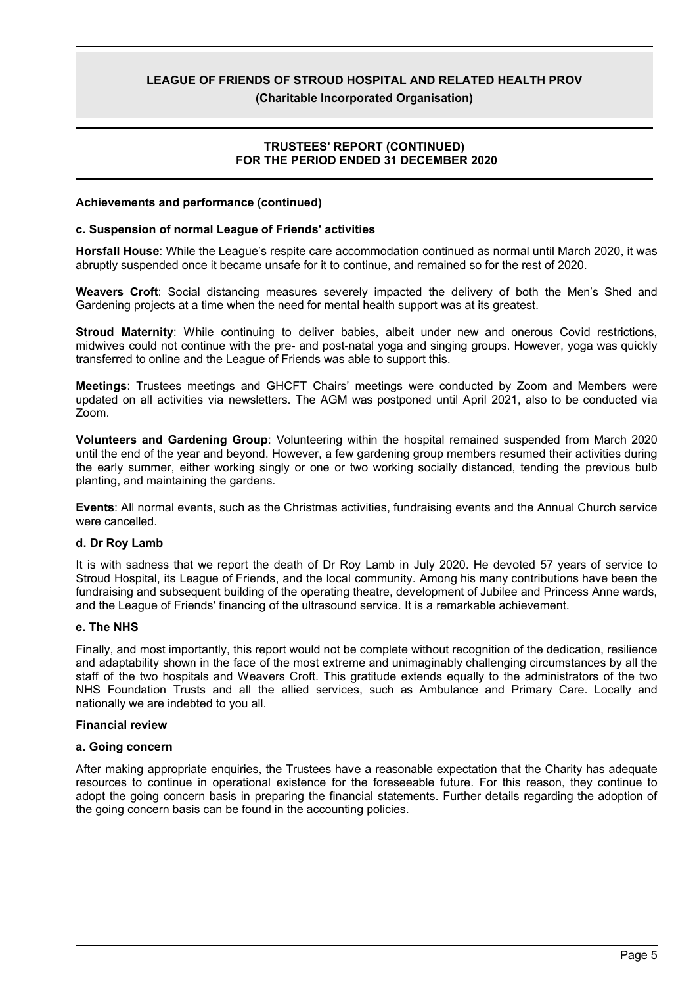**(Charitable Incorporated Organisation)**

# **TRUSTEES' REPORT (CONTINUED) FOR THE PERIOD ENDED 31 DECEMBER 2020**

### **Achievements and performance (continued)**

### **c. Suspension of normal League of Friends' activities**

**Horsfall House**: While the League's respite care accommodation continued as normal until March 2020, it was abruptly suspended once it became unsafe for it to continue, and remained so for the rest of 2020.

**Weavers Croft**: Social distancing measures severely impacted the delivery of both the Men's Shed and Gardening projects at a time when the need for mental health support was at its greatest.

**Stroud Maternity**: While continuing to deliver babies, albeit under new and onerous Covid restrictions, midwives could not continue with the pre- and post-natal yoga and singing groups. However, yoga was quickly transferred to online and the League of Friends was able to support this.

**Meetings**: Trustees meetings and GHCFT Chairs' meetings were conducted by Zoom and Members were updated on all activities via newsletters. The AGM was postponed until April 2021, also to be conducted via Zoom.

**Volunteers and Gardening Group**: Volunteering within the hospital remained suspended from March 2020 until the end of the year and beyond. However, a few gardening group members resumed their activities during the early summer, either working singly or one or two working socially distanced, tending the previous bulb planting, and maintaining the gardens.

**Events**: All normal events, such as the Christmas activities, fundraising events and the Annual Church service were cancelled.

### **d. Dr Roy Lamb**

It is with sadness that we report the death of Dr Roy Lamb in July 2020. He devoted 57 years of service to Stroud Hospital, its League of Friends, and the local community. Among his many contributions have been the fundraising and subsequent building of the operating theatre, development of Jubilee and Princess Anne wards, and the League of Friends' financing of the ultrasound service. It is a remarkable achievement.

### **e. The NHS**

Finally, and most importantly, this report would not be complete without recognition of the dedication, resilience and adaptability shown in the face of the most extreme and unimaginably challenging circumstances by all the staff of the two hospitals and Weavers Croft. This gratitude extends equally to the administrators of the two NHS Foundation Trusts and all the allied services, such as Ambulance and Primary Care. Locally and nationally we are indebted to you all.

### **Financial review**

### **a. Going concern**

After making appropriate enquiries, the Trustees have a reasonable expectation that the Charity has adequate resources to continue in operational existence for the foreseeable future. For this reason, they continue to adopt the going concern basis in preparing the financial statements. Further details regarding the adoption of the going concern basis can be found in the accounting policies.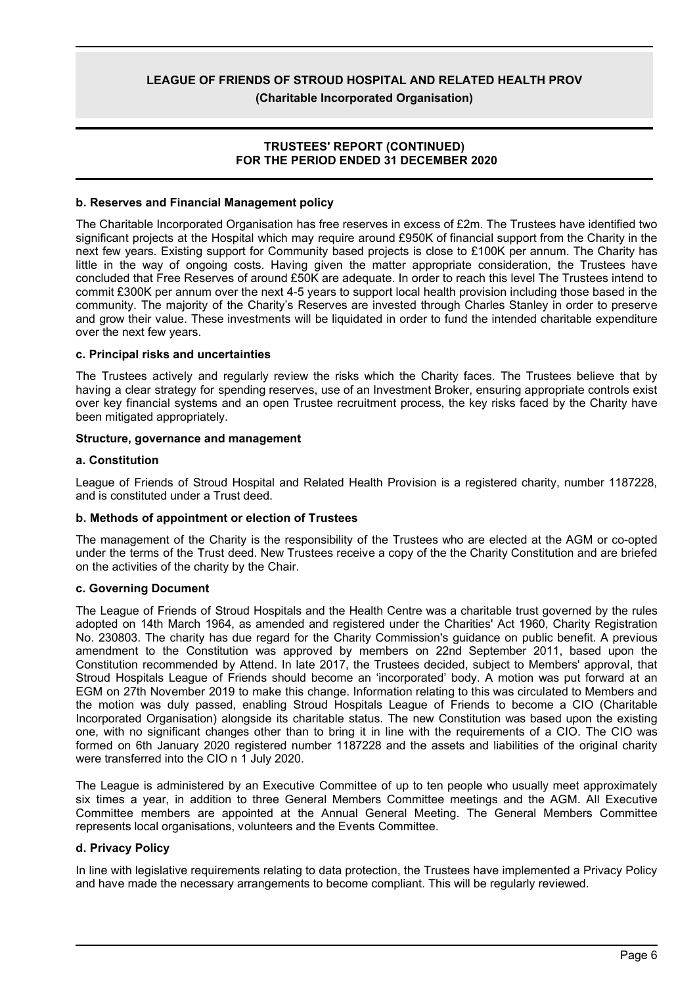**(Charitable Incorporated Organisation)**

# **TRUSTEES' REPORT (CONTINUED) FOR THE PERIOD ENDED 31 DECEMBER 2020**

# **b. Reserves and Financial Management policy**

The Charitable Incorporated Organisation has free reserves in excess of £2m. The Trustees have identified two significant projects at the Hospital which may require around £950K of financial support from the Charity in the next few years. Existing support for Community based projects is close to £100K per annum. The Charity has little in the way of ongoing costs. Having given the matter appropriate consideration, the Trustees have concluded that Free Reserves of around £50K are adequate. In order to reach this level The Trustees intend to commit £300K per annum over the next 4-5 years to support local health provision including those based in the community. The majority of the Charity's Reserves are invested through Charles Stanley in order to preserve and grow their value. These investments will be liquidated in order to fund the intended charitable expenditure over the next few years.

# **c. Principal risks and uncertainties**

The Trustees actively and regularly review the risks which the Charity faces. The Trustees believe that by having a clear strategy for spending reserves, use of an Investment Broker, ensuring appropriate controls exist over key financial systems and an open Trustee recruitment process, the key risks faced by the Charity have been mitigated appropriately.

# **Structure, governance and management**

# **a. Constitution**

League of Friends of Stroud Hospital and Related Health Provision is a registered charity, number 1187228, and is constituted under a Trust deed.

### **b. Methods of appointment or election of Trustees**

The management of the Charity is the responsibility of the Trustees who are elected at the AGM or co-opted under the terms of the Trust deed. New Trustees receive a copy of the the Charity Constitution and are briefed on the activities of the charity by the Chair.

### **c. Governing Document**

The League of Friends of Stroud Hospitals and the Health Centre was a charitable trust governed by the rules adopted on 14th March 1964, as amended and registered under the Charities' Act 1960, Charity Registration No. 230803. The charity has due regard for the Charity Commission's guidance on public benefit. A previous amendment to the Constitution was approved by members on 22nd September 2011, based upon the Constitution recommended by Attend. In late 2017, the Trustees decided, subject to Members' approval, that Stroud Hospitals League of Friends should become an 'incorporated' body. A motion was put forward at an EGM on 27th November 2019 to make this change. Information relating to this was circulated to Members and the motion was duly passed, enabling Stroud Hospitals League of Friends to become a CIO (Charitable Incorporated Organisation) alongside its charitable status. The new Constitution was based upon the existing one, with no significant changes other than to bring it in line with the requirements of a CIO. The CIO was formed on 6th January 2020 registered number 1187228 and the assets and liabilities of the original charity were transferred into the CIO n 1 July 2020.

The League is administered by an Executive Committee of up to ten people who usually meet approximately six times a year, in addition to three General Members Committee meetings and the AGM. All Executive Committee members are appointed at the Annual General Meeting. The General Members Committee represents local organisations, volunteers and the Events Committee.

# **d. Privacy Policy**

In line with legislative requirements relating to data protection, the Trustees have implemented a Privacy Policy and have made the necessary arrangements to become compliant. This will be regularly reviewed.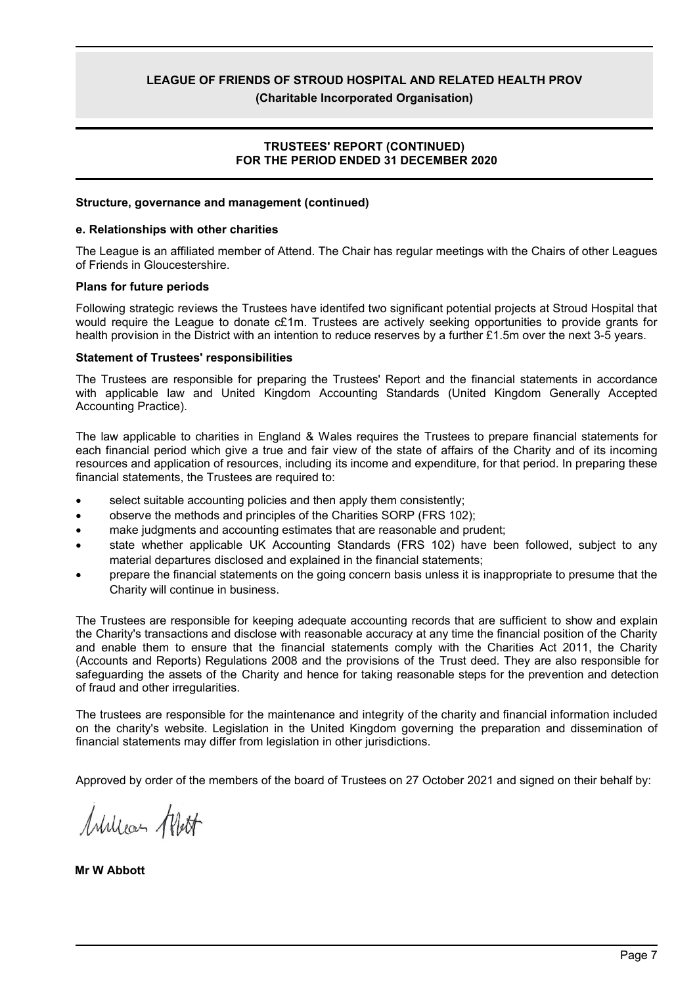**(Charitable Incorporated Organisation)**

# **TRUSTEES' REPORT (CONTINUED) FOR THE PERIOD ENDED 31 DECEMBER 2020**

### **Structure, governance and management (continued)**

### **e. Relationships with other charities**

The League is an affiliated member of Attend. The Chair has regular meetings with the Chairs of other Leagues of Friends in Gloucestershire.

### **Plans for future periods**

Following strategic reviews the Trustees have identifed two significant potential projects at Stroud Hospital that would require the League to donate c£1m. Trustees are actively seeking opportunities to provide grants for health provision in the District with an intention to reduce reserves by a further £1.5m over the next 3-5 years.

### **Statement of Trustees' responsibilities**

The Trustees are responsible for preparing the Trustees' Report and the financial statements in accordance with applicable law and United Kingdom Accounting Standards (United Kingdom Generally Accepted Accounting Practice).

The law applicable to charities in England & Wales requires the Trustees to prepare financial statements for each financial period which give a true and fair view of the state of affairs of the Charity and of its incoming resources and application of resources, including its income and expenditure, for that period. In preparing these financial statements, the Trustees are required to:

- select suitable accounting policies and then apply them consistently;
- observe the methods and principles of the Charities SORP (FRS 102);
- make judgments and accounting estimates that are reasonable and prudent;
- state whether applicable UK Accounting Standards (FRS 102) have been followed, subject to any material departures disclosed and explained in the financial statements;
- prepare the financial statements on the going concern basis unless it is inappropriate to presume that the Charity will continue in business.

The Trustees are responsible for keeping adequate accounting records that are sufficient to show and explain the Charity's transactions and disclose with reasonable accuracy at any time the financial position of the Charity and enable them to ensure that the financial statements comply with the Charities Act 2011, the Charity (Accounts and Reports) Regulations 2008 and the provisions of the Trust deed. They are also responsible for safeguarding the assets of the Charity and hence for taking reasonable steps for the prevention and detection of fraud and other irregularities.

The trustees are responsible for the maintenance and integrity of the charity and financial information included on the charity's website. Legislation in the United Kingdom governing the preparation and dissemination of financial statements may differ from legislation in other jurisdictions.

Approved by order of the members of the board of Trustees on 27 October 2021 and signed on their behalf by:

William Wett

**Mr W Abbott**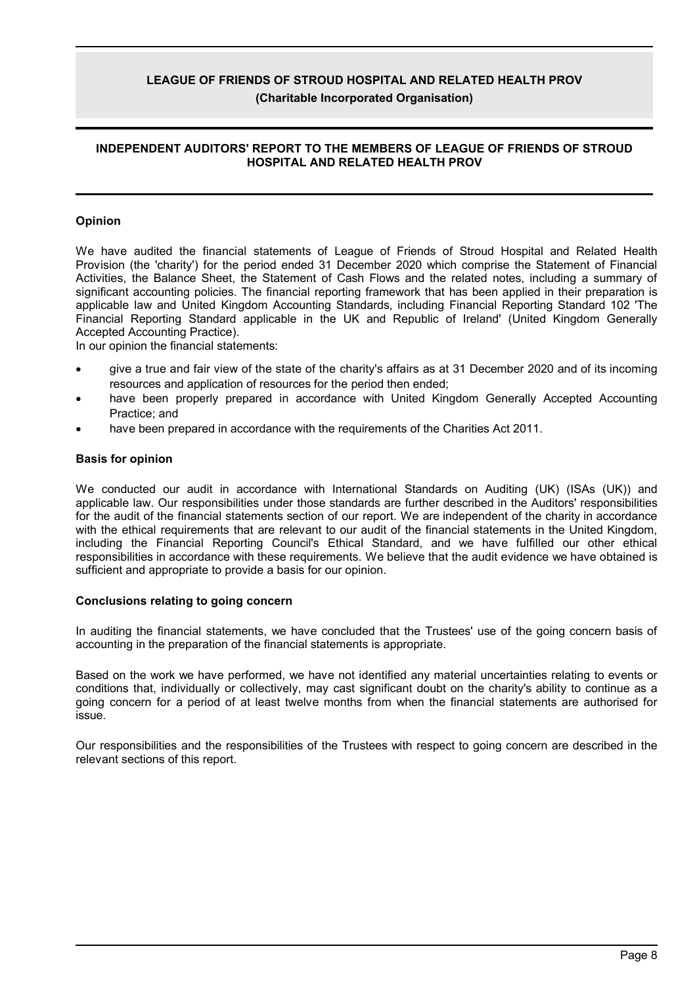# **INDEPENDENT AUDITORS' REPORT TO THE MEMBERS OF LEAGUE OF FRIENDS OF STROUD HOSPITAL AND RELATED HEALTH PROV**

### **Opinion**

We have audited the financial statements of League of Friends of Stroud Hospital and Related Health Provision (the 'charity') for the period ended 31 December 2020 which comprise the Statement of Financial Activities, the Balance Sheet, the Statement of Cash Flows and the related notes, including a summary of significant accounting policies. The financial reporting framework that has been applied in their preparation is applicable law and United Kingdom Accounting Standards, including Financial Reporting Standard 102 'The Financial Reporting Standard applicable in the UK and Republic of Ireland' (United Kingdom Generally Accepted Accounting Practice).

In our opinion the financial statements:

- give a true and fair view of the state of the charity's affairs as at 31 December 2020 and of its incoming resources and application of resources for the period then ended;
- have been properly prepared in accordance with United Kingdom Generally Accepted Accounting Practice; and
- have been prepared in accordance with the requirements of the Charities Act 2011.

### **Basis for opinion**

We conducted our audit in accordance with International Standards on Auditing (UK) (ISAs (UK)) and applicable law. Our responsibilities under those standards are further described in the Auditors' responsibilities for the audit of the financial statements section of our report. We are independent of the charity in accordance with the ethical requirements that are relevant to our audit of the financial statements in the United Kingdom, including the Financial Reporting Council's Ethical Standard, and we have fulfilled our other ethical responsibilities in accordance with these requirements. We believe that the audit evidence we have obtained is sufficient and appropriate to provide a basis for our opinion.

### **Conclusions relating to going concern**

In auditing the financial statements, we have concluded that the Trustees' use of the going concern basis of accounting in the preparation of the financial statements is appropriate.

Based on the work we have performed, we have not identified any material uncertainties relating to events or conditions that, individually or collectively, may cast significant doubt on the charity's ability to continue as a going concern for a period of at least twelve months from when the financial statements are authorised for issue.

Our responsibilities and the responsibilities of the Trustees with respect to going concern are described in the relevant sections of this report.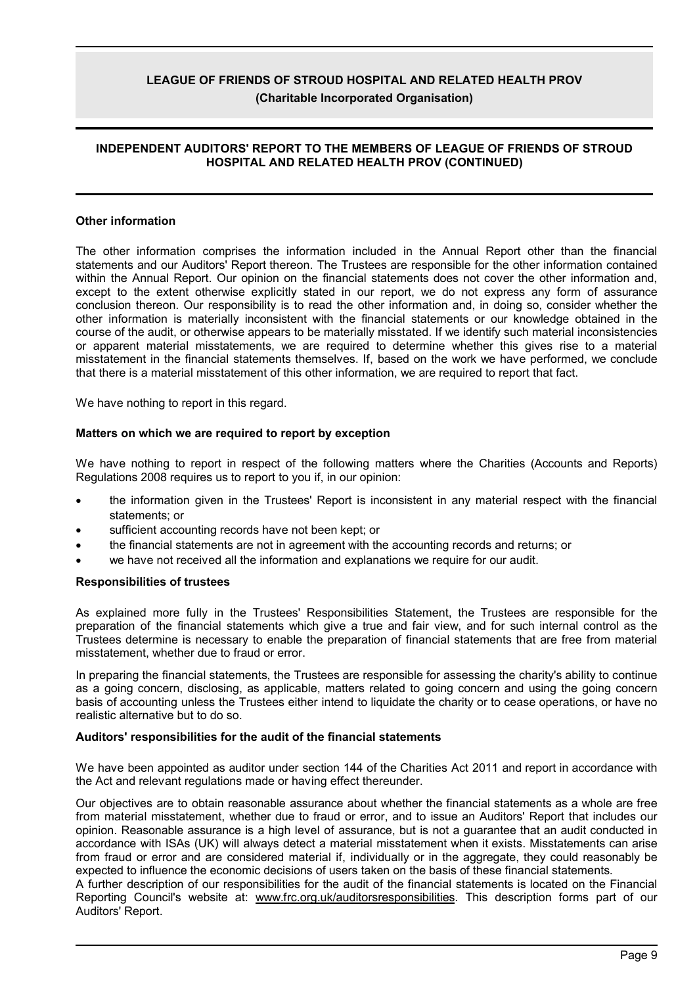# **INDEPENDENT AUDITORS' REPORT TO THE MEMBERS OF LEAGUE OF FRIENDS OF STROUD HOSPITAL AND RELATED HEALTH PROV (CONTINUED)**

### **Other information**

The other information comprises the information included in the Annual Report other than the financial statements and our Auditors' Report thereon. The Trustees are responsible for the other information contained within the Annual Report. Our opinion on the financial statements does not cover the other information and, except to the extent otherwise explicitly stated in our report, we do not express any form of assurance conclusion thereon. Our responsibility is to read the other information and, in doing so, consider whether the other information is materially inconsistent with the financial statements or our knowledge obtained in the course of the audit, or otherwise appears to be materially misstated. If we identify such material inconsistencies or apparent material misstatements, we are required to determine whether this gives rise to a material misstatement in the financial statements themselves. If, based on the work we have performed, we conclude that there is a material misstatement of this other information, we are required to report that fact.

We have nothing to report in this regard.

### **Matters on which we are required to report by exception**

We have nothing to report in respect of the following matters where the Charities (Accounts and Reports) Regulations 2008 requires us to report to you if, in our opinion:

- the information given in the Trustees' Report is inconsistent in any material respect with the financial statements; or
- sufficient accounting records have not been kept; or
- the financial statements are not in agreement with the accounting records and returns; or
- we have not received all the information and explanations we require for our audit.

### **Responsibilities of trustees**

As explained more fully in the Trustees' Responsibilities Statement, the Trustees are responsible for the preparation of the financial statements which give a true and fair view, and for such internal control as the Trustees determine is necessary to enable the preparation of financial statements that are free from material misstatement, whether due to fraud or error.

In preparing the financial statements, the Trustees are responsible for assessing the charity's ability to continue as a going concern, disclosing, as applicable, matters related to going concern and using the going concern basis of accounting unless the Trustees either intend to liquidate the charity or to cease operations, or have no realistic alternative but to do so.

### **Auditors' responsibilities for the audit of the financial statements**

We have been appointed as auditor under section 144 of the Charities Act 2011 and report in accordance with the Act and relevant regulations made or having effect thereunder.

Our objectives are to obtain reasonable assurance about whether the financial statements as a whole are free from material misstatement, whether due to fraud or error, and to issue an Auditors' Report that includes our opinion. Reasonable assurance is a high level of assurance, but is not a guarantee that an audit conducted in accordance with ISAs (UK) will always detect a material misstatement when it exists. Misstatements can arise from fraud or error and are considered material if, individually or in the aggregate, they could reasonably be expected to influence the economic decisions of users taken on the basis of these financial statements.

A further description of our responsibilities for the audit of the financial statements is located on the Financial Reporting Council's website at: www.frc.org.uk/auditorsresponsibilities. This description forms part of our Auditors' Report.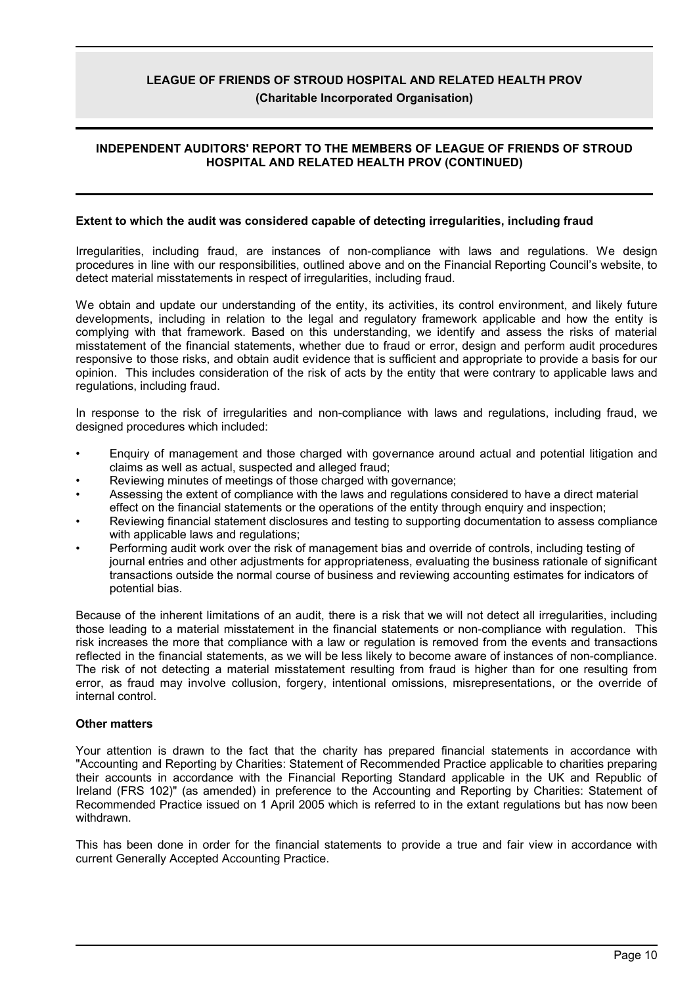# **INDEPENDENT AUDITORS' REPORT TO THE MEMBERS OF LEAGUE OF FRIENDS OF STROUD HOSPITAL AND RELATED HEALTH PROV (CONTINUED)**

### **Extent to which the audit was considered capable of detecting irregularities, including fraud**

Irregularities, including fraud, are instances of non-compliance with laws and regulations. We design procedures in line with our responsibilities, outlined above and on the Financial Reporting Council's website, to detect material misstatements in respect of irregularities, including fraud.

We obtain and update our understanding of the entity, its activities, its control environment, and likely future developments, including in relation to the legal and regulatory framework applicable and how the entity is complying with that framework. Based on this understanding, we identify and assess the risks of material misstatement of the financial statements, whether due to fraud or error, design and perform audit procedures responsive to those risks, and obtain audit evidence that is sufficient and appropriate to provide a basis for our opinion. This includes consideration of the risk of acts by the entity that were contrary to applicable laws and regulations, including fraud.

In response to the risk of irregularities and non-compliance with laws and regulations, including fraud, we designed procedures which included:

- Enquiry of management and those charged with governance around actual and potential litigation and claims as well as actual, suspected and alleged fraud;
- Reviewing minutes of meetings of those charged with governance;
- Assessing the extent of compliance with the laws and regulations considered to have a direct material effect on the financial statements or the operations of the entity through enquiry and inspection;
- Reviewing financial statement disclosures and testing to supporting documentation to assess compliance with applicable laws and regulations;
- Performing audit work over the risk of management bias and override of controls, including testing of journal entries and other adjustments for appropriateness, evaluating the business rationale of significant transactions outside the normal course of business and reviewing accounting estimates for indicators of potential bias.

Because of the inherent limitations of an audit, there is a risk that we will not detect all irregularities, including those leading to a material misstatement in the financial statements or non-compliance with regulation. This risk increases the more that compliance with a law or regulation is removed from the events and transactions reflected in the financial statements, as we will be less likely to become aware of instances of non-compliance. The risk of not detecting a material misstatement resulting from fraud is higher than for one resulting from error, as fraud may involve collusion, forgery, intentional omissions, misrepresentations, or the override of internal control.

### **Other matters**

Your attention is drawn to the fact that the charity has prepared financial statements in accordance with "Accounting and Reporting by Charities: Statement of Recommended Practice applicable to charities preparing their accounts in accordance with the Financial Reporting Standard applicable in the UK and Republic of Ireland (FRS 102)" (as amended) in preference to the Accounting and Reporting by Charities: Statement of Recommended Practice issued on 1 April 2005 which is referred to in the extant regulations but has now been withdrawn.

This has been done in order for the financial statements to provide a true and fair view in accordance with current Generally Accepted Accounting Practice.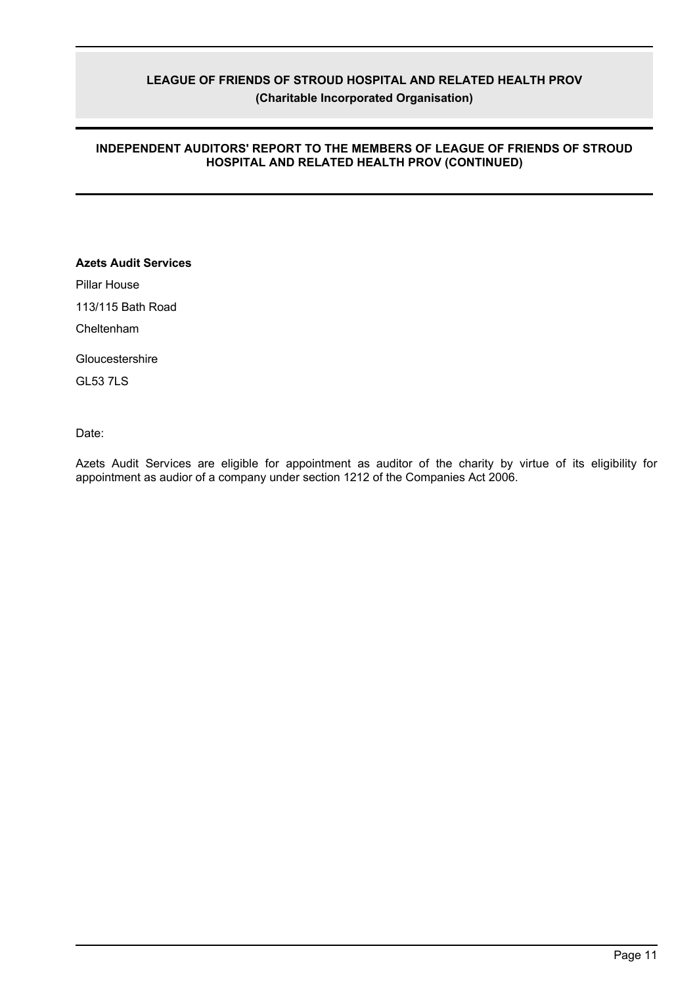# **INDEPENDENT AUDITORS' REPORT TO THE MEMBERS OF LEAGUE OF FRIENDS OF STROUD HOSPITAL AND RELATED HEALTH PROV (CONTINUED)**

# **Azets Audit Services**

Pillar House

113/115 Bath Road

Cheltenham

**Gloucestershire** 

GL53 7LS

Date:

Azets Audit Services are eligible for appointment as auditor of the charity by virtue of its eligibility for appointment as audior of a company under section 1212 of the Companies Act 2006.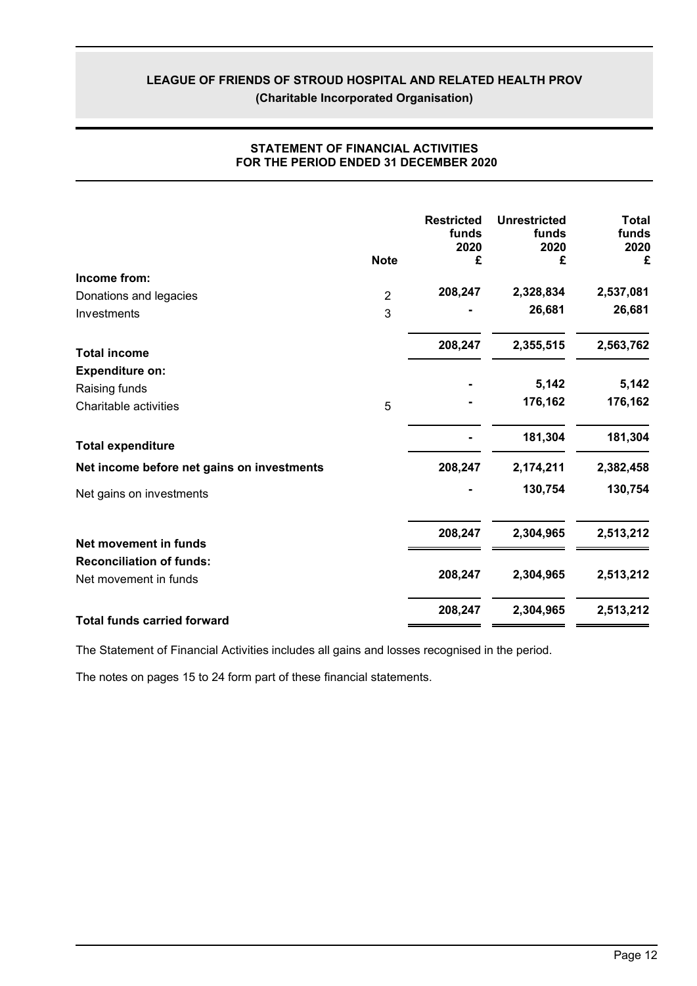| 2,537,081 |
|-----------|
|           |
|           |
| 26,681    |
| 2,563,762 |
|           |
| 5,142     |
| 176,162   |
| 181,304   |
| 2,382,458 |
| 130,754   |
| 2,513,212 |
|           |
| 2,513,212 |
| 2,513,212 |
|           |

# **STATEMENT OF FINANCIAL ACTIVITIES FOR THE PERIOD ENDED 31 DECEMBER 2020**

The Statement of Financial Activities includes all gains and losses recognised in the period.

The notes on pages 15 to 24 form part of these financial statements.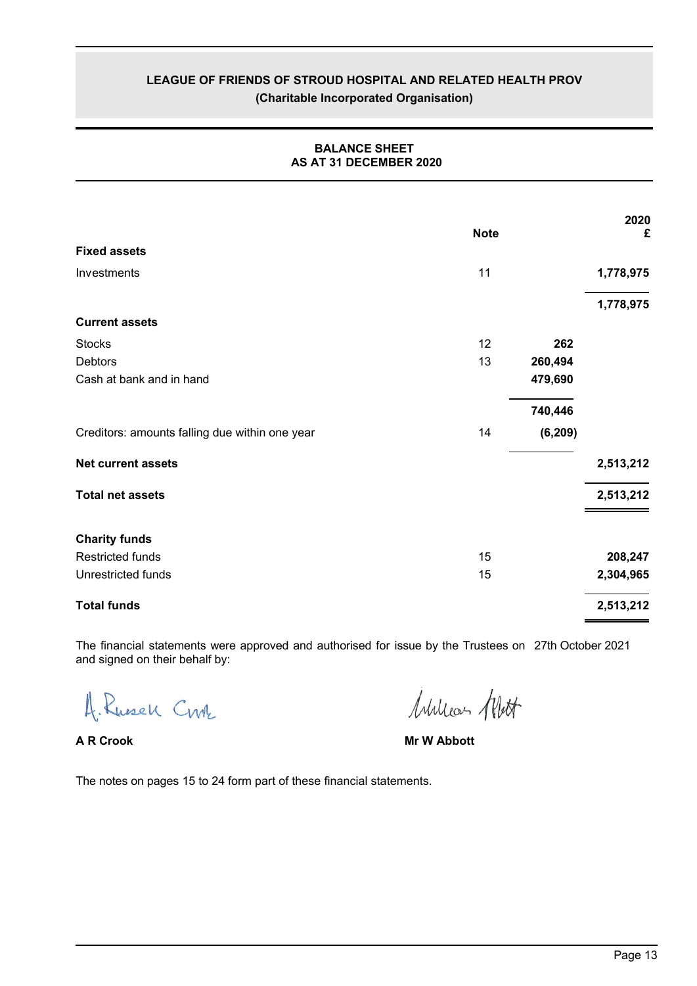|                                                | <b>Note</b> |          | 2020<br>£ |
|------------------------------------------------|-------------|----------|-----------|
| <b>Fixed assets</b>                            |             |          |           |
| Investments                                    | 11          |          | 1,778,975 |
|                                                |             |          | 1,778,975 |
| <b>Current assets</b>                          |             |          |           |
| <b>Stocks</b>                                  | 12          | 262      |           |
| <b>Debtors</b>                                 | 13          | 260,494  |           |
| Cash at bank and in hand                       |             | 479,690  |           |
|                                                |             | 740,446  |           |
| Creditors: amounts falling due within one year | 14          | (6, 209) |           |
| <b>Net current assets</b>                      |             |          | 2,513,212 |
| <b>Total net assets</b>                        |             |          | 2,513,212 |
| <b>Charity funds</b>                           |             |          |           |
| <b>Restricted funds</b>                        | 15          |          | 208,247   |
| Unrestricted funds                             | 15          |          | 2,304,965 |
| <b>Total funds</b>                             |             |          | 2,513,212 |

# **BALANCE SHEET AS AT 31 DECEMBER 2020**

The financial statements were approved and authorised for issue by the Trustees on 27th October 2021and signed on their behalf by:

4. Russell Crok

William Alett

**A R Crook Mr W Abbott**

The notes on pages 15 to 24 form part of these financial statements.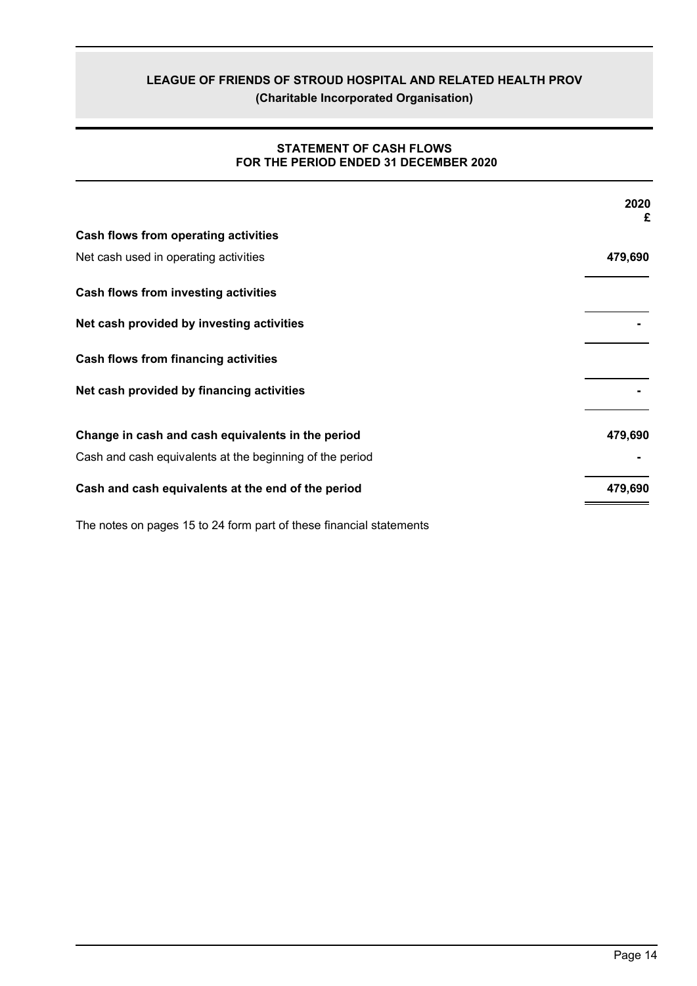**(Charitable Incorporated Organisation)**

# **STATEMENT OF CASH FLOWS FOR THE PERIOD ENDED 31 DECEMBER 2020**

|                                                          | 2020<br>£ |
|----------------------------------------------------------|-----------|
| Cash flows from operating activities                     |           |
| Net cash used in operating activities                    | 479,690   |
| Cash flows from investing activities                     |           |
| Net cash provided by investing activities                |           |
| Cash flows from financing activities                     |           |
| Net cash provided by financing activities                |           |
| Change in cash and cash equivalents in the period        | 479,690   |
| Cash and cash equivalents at the beginning of the period |           |
| Cash and cash equivalents at the end of the period       | 479,690   |

The notes on pages 15 to 24 form part of these financial statements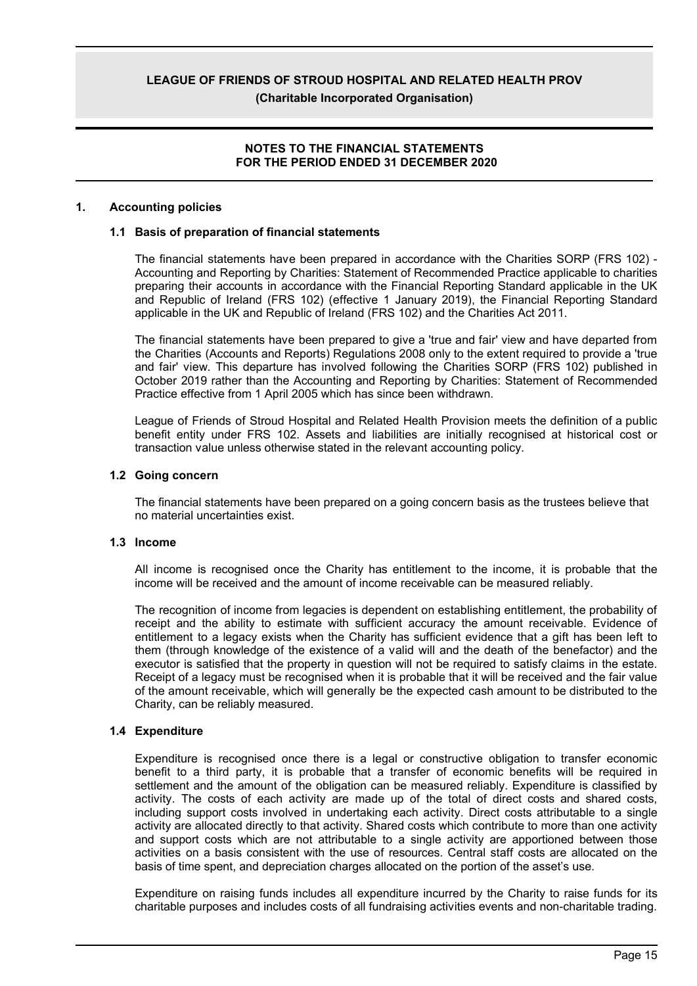**(Charitable Incorporated Organisation)**

### **NOTES TO THE FINANCIAL STATEMENTS FOR THE PERIOD ENDED 31 DECEMBER 2020**

### **1. Accounting policies**

### **1.1 Basis of preparation of financial statements**

The financial statements have been prepared in accordance with the Charities SORP (FRS 102) - Accounting and Reporting by Charities: Statement of Recommended Practice applicable to charities preparing their accounts in accordance with the Financial Reporting Standard applicable in the UK and Republic of Ireland (FRS 102) (effective 1 January 2019), the Financial Reporting Standard applicable in the UK and Republic of Ireland (FRS 102) and the Charities Act 2011.

The financial statements have been prepared to give a 'true and fair' view and have departed from the Charities (Accounts and Reports) Regulations 2008 only to the extent required to provide a 'true and fair' view. This departure has involved following the Charities SORP (FRS 102) published in October 2019 rather than the Accounting and Reporting by Charities: Statement of Recommended Practice effective from 1 April 2005 which has since been withdrawn.

League of Friends of Stroud Hospital and Related Health Provision meets the definition of a public benefit entity under FRS 102. Assets and liabilities are initially recognised at historical cost or transaction value unless otherwise stated in the relevant accounting policy.

### **1.2 Going concern**

The financial statements have been prepared on a going concern basis as the trustees believe that no material uncertainties exist.

### **1.3 Income**

All income is recognised once the Charity has entitlement to the income, it is probable that the income will be received and the amount of income receivable can be measured reliably.

The recognition of income from legacies is dependent on establishing entitlement, the probability of receipt and the ability to estimate with sufficient accuracy the amount receivable. Evidence of entitlement to a legacy exists when the Charity has sufficient evidence that a gift has been left to them (through knowledge of the existence of a valid will and the death of the benefactor) and the executor is satisfied that the property in question will not be required to satisfy claims in the estate. Receipt of a legacy must be recognised when it is probable that it will be received and the fair value of the amount receivable, which will generally be the expected cash amount to be distributed to the Charity, can be reliably measured.

### **1.4 Expenditure**

Expenditure is recognised once there is a legal or constructive obligation to transfer economic benefit to a third party, it is probable that a transfer of economic benefits will be required in settlement and the amount of the obligation can be measured reliably. Expenditure is classified by activity. The costs of each activity are made up of the total of direct costs and shared costs, including support costs involved in undertaking each activity. Direct costs attributable to a single activity are allocated directly to that activity. Shared costs which contribute to more than one activity and support costs which are not attributable to a single activity are apportioned between those activities on a basis consistent with the use of resources. Central staff costs are allocated on the basis of time spent, and depreciation charges allocated on the portion of the asset's use.

Expenditure on raising funds includes all expenditure incurred by the Charity to raise funds for its charitable purposes and includes costs of all fundraising activities events and non-charitable trading.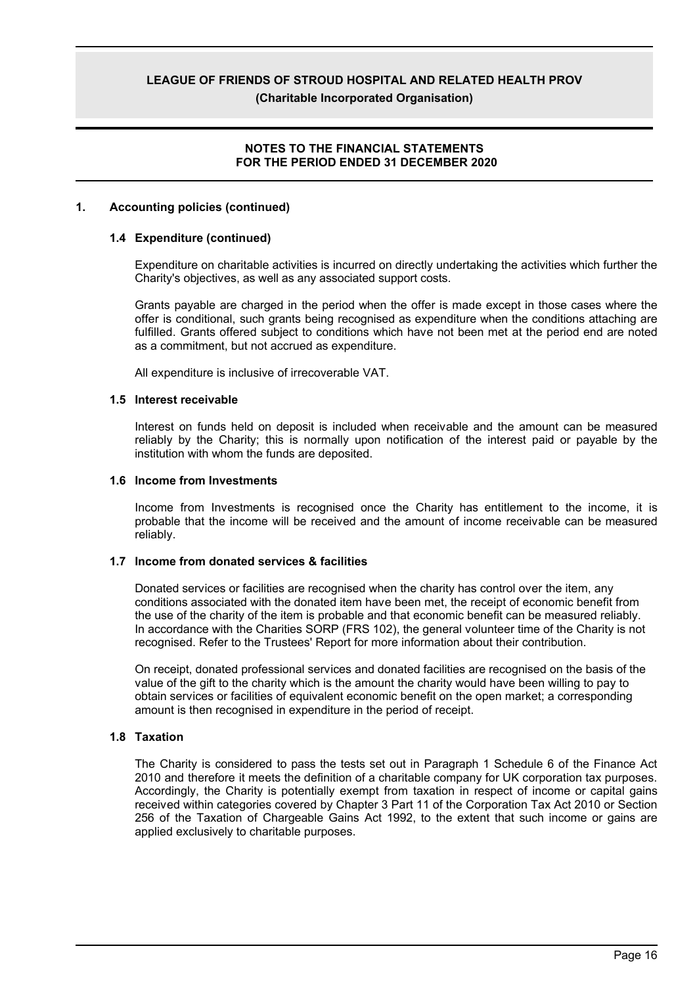### **NOTES TO THE FINANCIAL STATEMENTS FOR THE PERIOD ENDED 31 DECEMBER 2020**

### **1. Accounting policies (continued)**

### **1.4 Expenditure (continued)**

Expenditure on charitable activities is incurred on directly undertaking the activities which further the Charity's objectives, as well as any associated support costs.

Grants payable are charged in the period when the offer is made except in those cases where the offer is conditional, such grants being recognised as expenditure when the conditions attaching are fulfilled. Grants offered subject to conditions which have not been met at the period end are noted as a commitment, but not accrued as expenditure.

All expenditure is inclusive of irrecoverable VAT.

### **1.5 Interest receivable**

Interest on funds held on deposit is included when receivable and the amount can be measured reliably by the Charity; this is normally upon notification of the interest paid or payable by the institution with whom the funds are deposited.

### **1.6 Income from Investments**

Income from Investments is recognised once the Charity has entitlement to the income, it is probable that the income will be received and the amount of income receivable can be measured reliably.

### **1.7 Income from donated services & facilities**

Donated services or facilities are recognised when the charity has control over the item, any conditions associated with the donated item have been met, the receipt of economic benefit from the use of the charity of the item is probable and that economic benefit can be measured reliably. In accordance with the Charities SORP (FRS 102), the general volunteer time of the Charity is not recognised. Refer to the Trustees' Report for more information about their contribution.

On receipt, donated professional services and donated facilities are recognised on the basis of the value of the gift to the charity which is the amount the charity would have been willing to pay to obtain services or facilities of equivalent economic benefit on the open market; a corresponding amount is then recognised in expenditure in the period of receipt.

### **1.8 Taxation**

The Charity is considered to pass the tests set out in Paragraph 1 Schedule 6 of the Finance Act 2010 and therefore it meets the definition of a charitable company for UK corporation tax purposes. Accordingly, the Charity is potentially exempt from taxation in respect of income or capital gains received within categories covered by Chapter 3 Part 11 of the Corporation Tax Act 2010 or Section 256 of the Taxation of Chargeable Gains Act 1992, to the extent that such income or gains are applied exclusively to charitable purposes.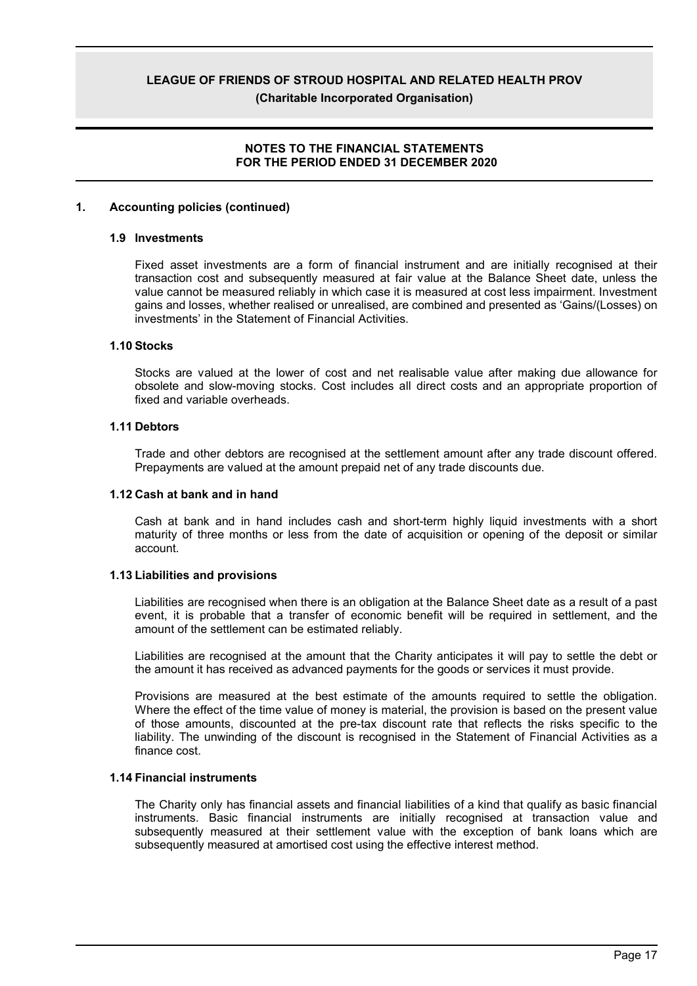### **NOTES TO THE FINANCIAL STATEMENTS FOR THE PERIOD ENDED 31 DECEMBER 2020**

### **1. Accounting policies (continued)**

### **1.9 Investments**

Fixed asset investments are a form of financial instrument and are initially recognised at their transaction cost and subsequently measured at fair value at the Balance Sheet date, unless the value cannot be measured reliably in which case it is measured at cost less impairment. Investment gains and losses, whether realised or unrealised, are combined and presented as 'Gains/(Losses) on investments' in the Statement of Financial Activities.

### **1.10 Stocks**

Stocks are valued at the lower of cost and net realisable value after making due allowance for obsolete and slow-moving stocks. Cost includes all direct costs and an appropriate proportion of fixed and variable overheads.

### **1.11 Debtors**

Trade and other debtors are recognised at the settlement amount after any trade discount offered. Prepayments are valued at the amount prepaid net of any trade discounts due.

### **1.12 Cash at bank and in hand**

Cash at bank and in hand includes cash and short-term highly liquid investments with a short maturity of three months or less from the date of acquisition or opening of the deposit or similar account.

### **1.13 Liabilities and provisions**

Liabilities are recognised when there is an obligation at the Balance Sheet date as a result of a past event, it is probable that a transfer of economic benefit will be required in settlement, and the amount of the settlement can be estimated reliably.

Liabilities are recognised at the amount that the Charity anticipates it will pay to settle the debt or the amount it has received as advanced payments for the goods or services it must provide.

Provisions are measured at the best estimate of the amounts required to settle the obligation. Where the effect of the time value of money is material, the provision is based on the present value of those amounts, discounted at the pre-tax discount rate that reflects the risks specific to the liability. The unwinding of the discount is recognised in the Statement of Financial Activities as a finance cost.

### **1.14 Financial instruments**

The Charity only has financial assets and financial liabilities of a kind that qualify as basic financial instruments. Basic financial instruments are initially recognised at transaction value and subsequently measured at their settlement value with the exception of bank loans which are subsequently measured at amortised cost using the effective interest method.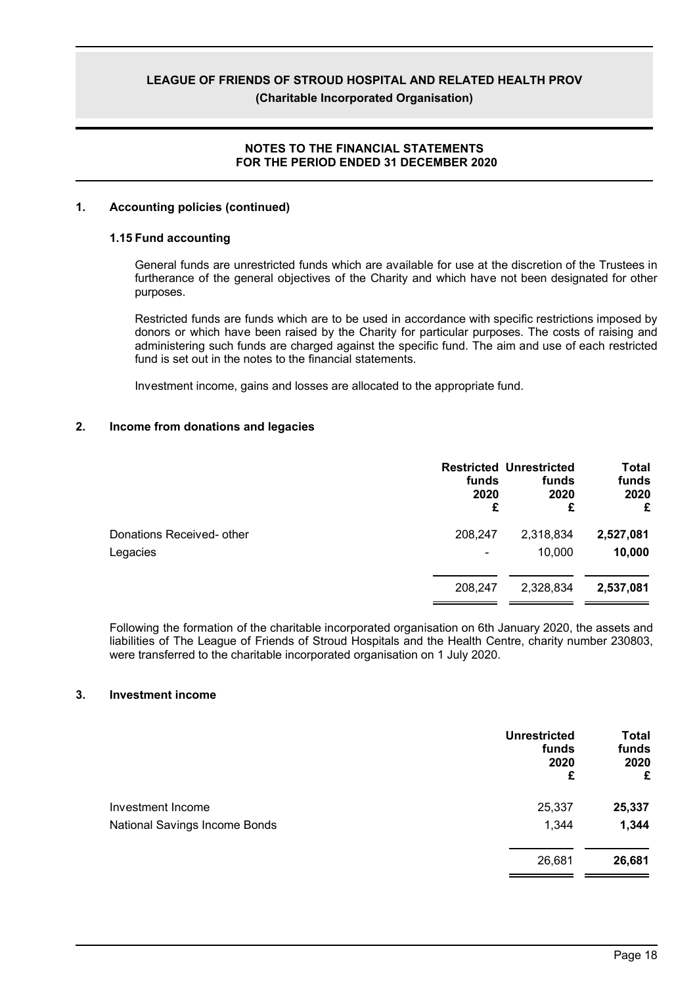### **NOTES TO THE FINANCIAL STATEMENTS FOR THE PERIOD ENDED 31 DECEMBER 2020**

### **1. Accounting policies (continued)**

### **1.15 Fund accounting**

General funds are unrestricted funds which are available for use at the discretion of the Trustees in furtherance of the general objectives of the Charity and which have not been designated for other purposes.

Restricted funds are funds which are to be used in accordance with specific restrictions imposed by donors or which have been raised by the Charity for particular purposes. The costs of raising and administering such funds are charged against the specific fund. The aim and use of each restricted fund is set out in the notes to the financial statements.

Investment income, gains and losses are allocated to the appropriate fund.

### **2. Income from donations and legacies**

|                           | funds<br>2020<br>£ | <b>Restricted Unrestricted</b><br>funds<br>2020<br>£ | Total<br>funds<br>2020<br>£ |
|---------------------------|--------------------|------------------------------------------------------|-----------------------------|
| Donations Received- other | 208,247            | 2,318,834                                            | 2,527,081                   |
| Legacies                  |                    | 10,000                                               | 10,000                      |
|                           | 208,247            | 2,328,834                                            | 2,537,081                   |

Following the formation of the charitable incorporated organisation on 6th January 2020, the assets and liabilities of The League of Friends of Stroud Hospitals and the Health Centre, charity number 230803, were transferred to the charitable incorporated organisation on 1 July 2020.

### **3. Investment income**

|                               | <b>Unrestricted</b><br>funds<br>2020<br>£ | <b>Total</b><br>funds<br>2020<br>£ |
|-------------------------------|-------------------------------------------|------------------------------------|
| <b>Investment Income</b>      | 25,337                                    | 25,337                             |
| National Savings Income Bonds | 1,344                                     | 1,344                              |
|                               | 26,681                                    | 26,681                             |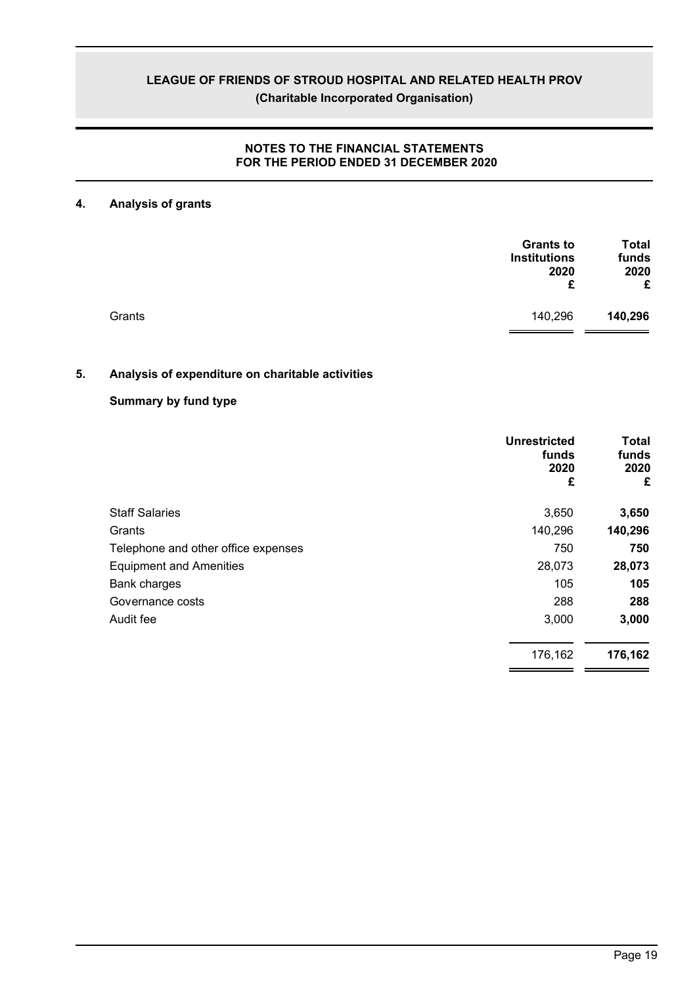# **NOTES TO THE FINANCIAL STATEMENTS FOR THE PERIOD ENDED 31 DECEMBER 2020**

# **4. Analysis of grants**

|        | <b>Grants to</b><br><b>Institutions</b><br>2020<br>£ | <b>Total</b><br>funds<br>2020<br>£ |
|--------|------------------------------------------------------|------------------------------------|
| Grants | 140,296                                              | 140,296                            |

# **5. Analysis of expenditure on charitable activities**

# **Summary by fund type**

|                                     | Unrestricted<br>funds<br>2020<br>£ | Total<br>funds<br>2020<br>£ |
|-------------------------------------|------------------------------------|-----------------------------|
| <b>Staff Salaries</b>               | 3,650                              | 3,650                       |
| Grants                              | 140,296                            | 140,296                     |
| Telephone and other office expenses | 750                                | 750                         |
| <b>Equipment and Amenities</b>      | 28,073                             | 28,073                      |
| Bank charges                        | 105                                | 105                         |
| Governance costs                    | 288                                | 288                         |
| Audit fee                           | 3,000                              | 3,000                       |
|                                     | 176,162                            | 176,162                     |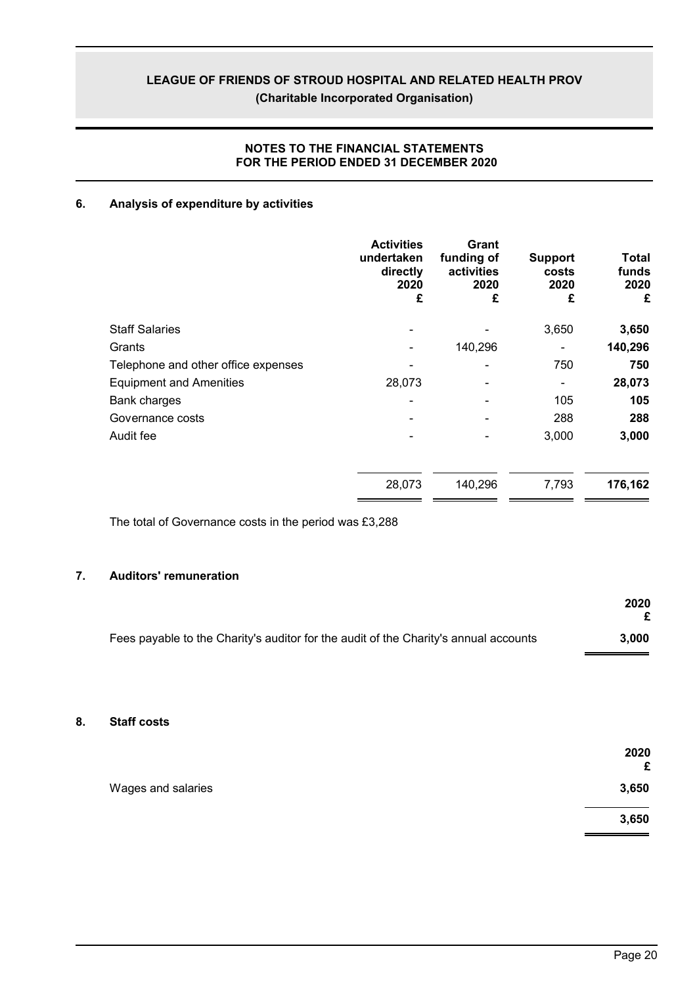# **NOTES TO THE FINANCIAL STATEMENTS FOR THE PERIOD ENDED 31 DECEMBER 2020**

# **6. Analysis of expenditure by activities**

|                                     | <b>Activities</b><br>undertaken<br>directly<br>2020<br>£ | <b>Grant</b><br>funding of<br>activities<br>2020<br>£ | <b>Support</b><br>costs<br>2020<br>£ | <b>Total</b><br>funds<br>2020<br>£ |
|-------------------------------------|----------------------------------------------------------|-------------------------------------------------------|--------------------------------------|------------------------------------|
| <b>Staff Salaries</b>               |                                                          |                                                       | 3,650                                | 3,650                              |
| Grants                              |                                                          | 140,296                                               |                                      | 140,296                            |
| Telephone and other office expenses |                                                          |                                                       | 750                                  | 750                                |
| <b>Equipment and Amenities</b>      | 28,073                                                   |                                                       |                                      | 28,073                             |
| Bank charges                        |                                                          |                                                       | 105                                  | 105                                |
| Governance costs                    |                                                          |                                                       | 288                                  | 288                                |
| Audit fee                           |                                                          |                                                       | 3,000                                | 3,000                              |
|                                     | 28,073                                                   | 140,296                                               | 7,793                                | 176,162                            |

The total of Governance costs in the period was £3,288

# **7. Auditors' remuneration**

|                                                                                      | 2020  |
|--------------------------------------------------------------------------------------|-------|
| Fees payable to the Charity's auditor for the audit of the Charity's annual accounts | 3.000 |

### **8. Staff costs**

|                    | 2020<br>£ |
|--------------------|-----------|
| Wages and salaries | 3,650     |
|                    | 3,650     |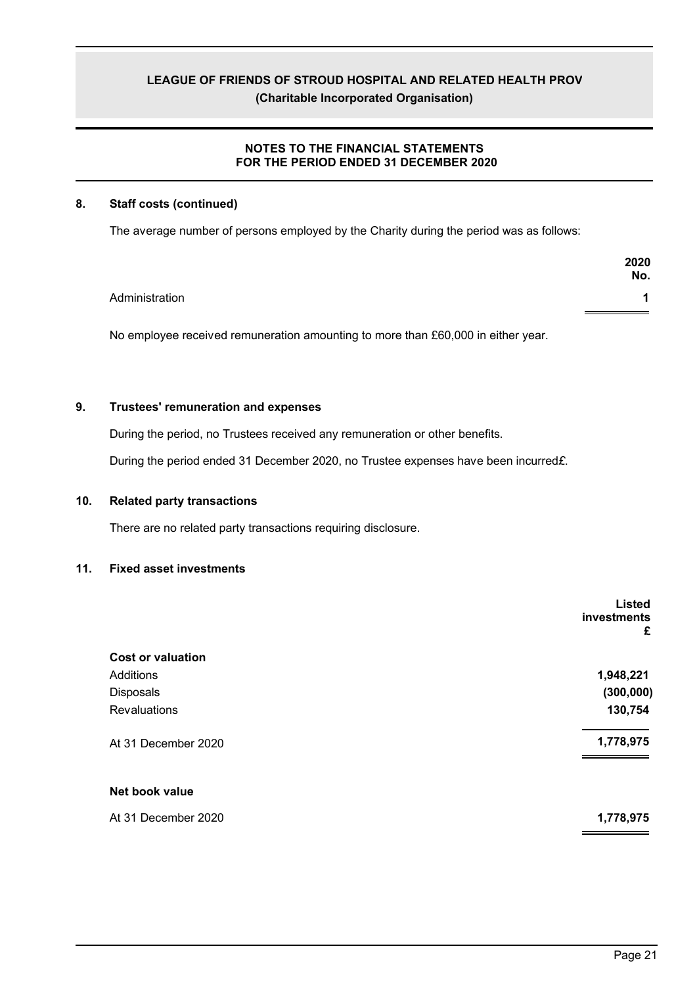# **NOTES TO THE FINANCIAL STATEMENTS FOR THE PERIOD ENDED 31 DECEMBER 2020**

### **8. Staff costs (continued)**

The average number of persons employed by the Charity during the period was as follows:

|                | 2020<br>No. |
|----------------|-------------|
| Administration |             |
|                |             |

No employee received remuneration amounting to more than £60,000 in either year.

# **9. Trustees' remuneration and expenses**

During the period, no Trustees received any remuneration or other benefits.

During the period ended 31 December 2020, no Trustee expenses have been incurred*£*.

### **10. Related party transactions**

There are no related party transactions requiring disclosure.

### **11. Fixed asset investments**

|                          | <b>Listed</b><br>investments<br>£ |
|--------------------------|-----------------------------------|
| <b>Cost or valuation</b> |                                   |
| Additions                | 1,948,221                         |
| Disposals                | (300, 000)                        |
| Revaluations             | 130,754                           |
| At 31 December 2020      | 1,778,975                         |
| Net book value           |                                   |
| At 31 December 2020      | 1,778,975                         |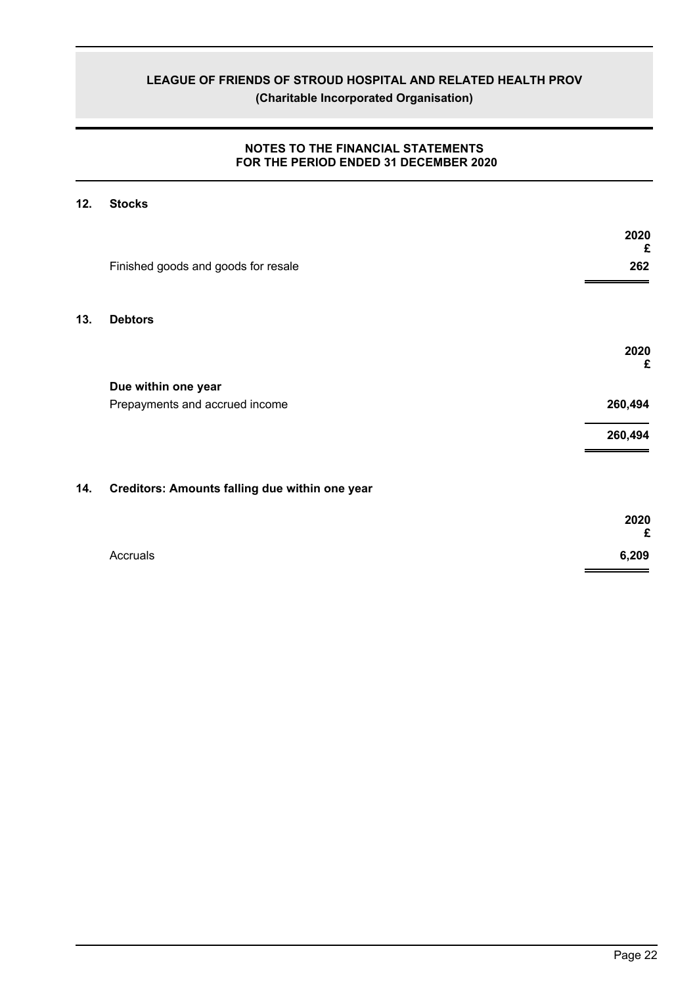### **NOTES TO THE FINANCIAL STATEMENTS FOR THE PERIOD ENDED 31 DECEMBER 2020**

# **12. Stocks**

|     |                                                | 2020<br>£ |
|-----|------------------------------------------------|-----------|
|     | Finished goods and goods for resale            | 262       |
| 13. | <b>Debtors</b>                                 |           |
|     |                                                | 2020<br>£ |
|     | Due within one year                            |           |
|     | Prepayments and accrued income                 | 260,494   |
|     |                                                | 260,494   |
|     |                                                |           |
| 14. | Creditors: Amounts falling due within one year |           |

|          | 2020<br>£ |
|----------|-----------|
| Accruals | 6,209     |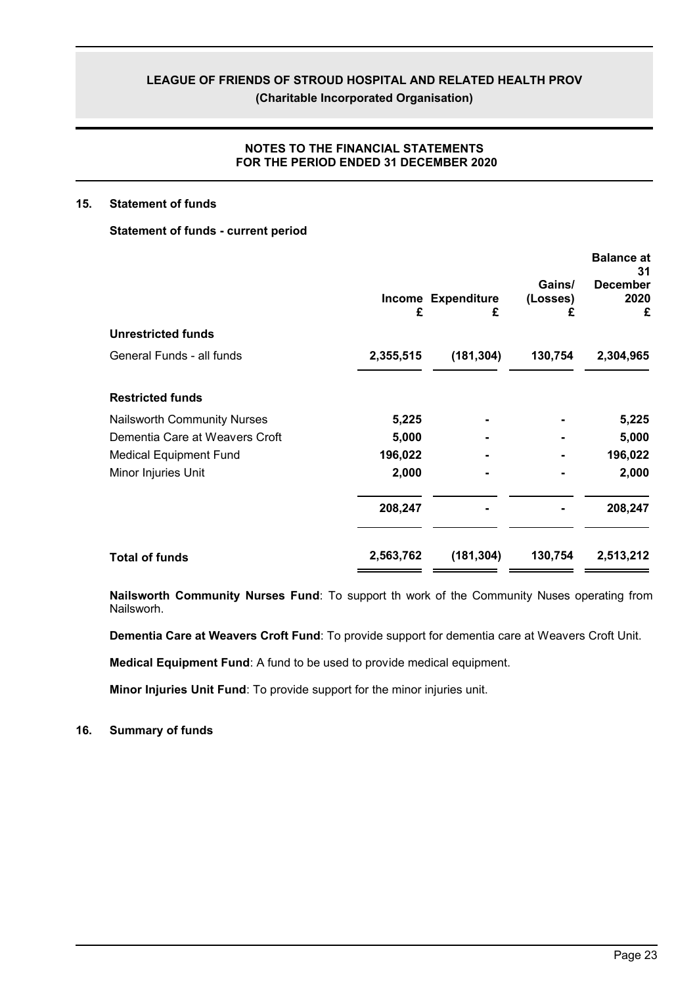### **NOTES TO THE FINANCIAL STATEMENTS FOR THE PERIOD ENDED 31 DECEMBER 2020**

### **15. Statement of funds**

### **Statement of funds - current period**

|                                    | £         | Income Expenditure<br>£ | Gains/<br>(Losses)<br>£ | <b>Balance at</b><br>31<br><b>December</b><br>2020<br>£ |
|------------------------------------|-----------|-------------------------|-------------------------|---------------------------------------------------------|
| <b>Unrestricted funds</b>          |           |                         |                         |                                                         |
| General Funds - all funds          | 2,355,515 | (181, 304)              | 130,754                 | 2,304,965                                               |
| <b>Restricted funds</b>            |           |                         |                         |                                                         |
| <b>Nailsworth Community Nurses</b> | 5,225     |                         |                         | 5,225                                                   |
| Dementia Care at Weavers Croft     | 5,000     |                         |                         | 5,000                                                   |
| <b>Medical Equipment Fund</b>      | 196,022   |                         |                         | 196,022                                                 |
| Minor Injuries Unit                | 2,000     |                         |                         | 2,000                                                   |
|                                    | 208,247   |                         |                         | 208,247                                                 |
| <b>Total of funds</b>              | 2,563,762 | (181, 304)              | 130,754                 | 2,513,212                                               |

**Nailsworth Community Nurses Fund**: To support th work of the Community Nuses operating from Nailsworh.

**Dementia Care at Weavers Croft Fund**: To provide support for dementia care at Weavers Croft Unit.

**Medical Equipment Fund**: A fund to be used to provide medical equipment.

**Minor Injuries Unit Fund**: To provide support for the minor injuries unit.

**16. Summary of funds**